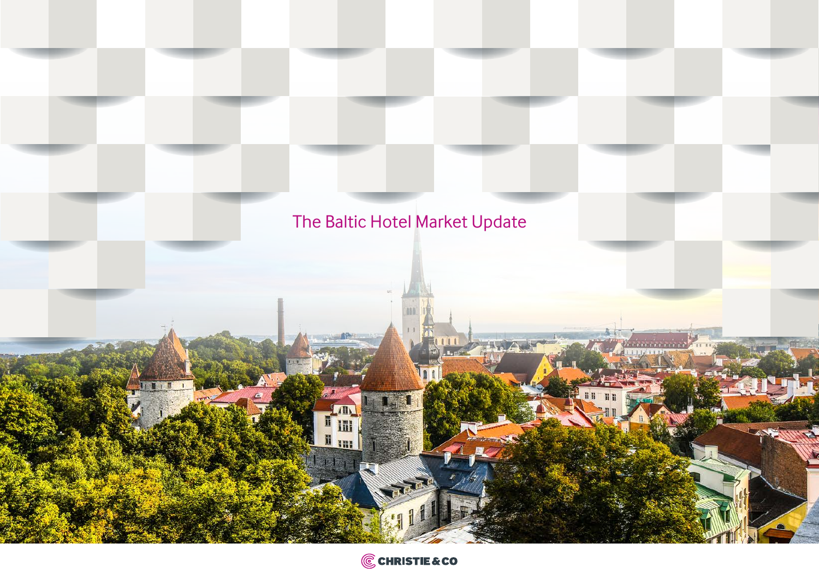# The Baltic Hotel Market Updateiīi HIII ANTARY AND  $\mathfrak{g}$

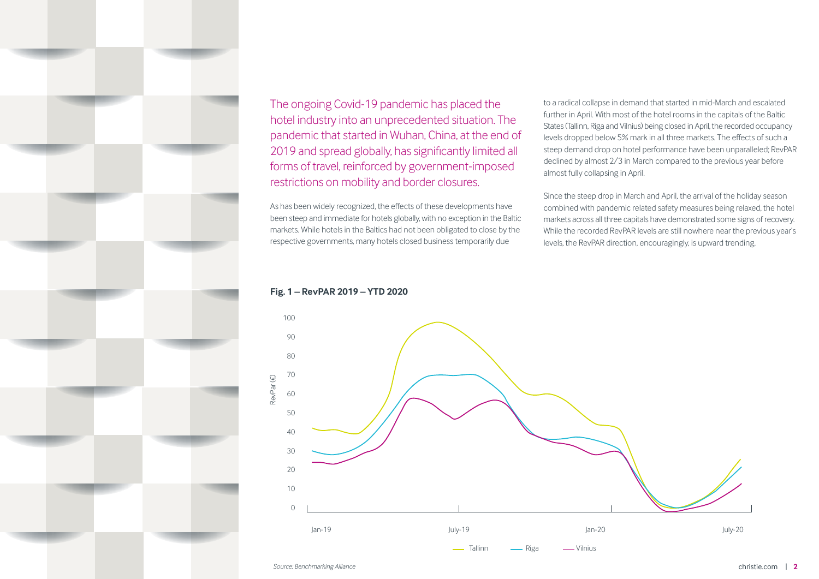

The ongoing Covid-19 pandemic has placed the hotel industry into an unprecedented situation. The pandemic that started in Wuhan, China, at the end of 2019 and spread globally, has significantly limited all forms of travel, reinforced by government-imposed restrictions on mobility and border closures.

As has been widely recognized, the effects of these developments have been steep and immediate for hotels globally, with no exception in the Baltic markets. While hotels in the Baltics had not been obligated to close by the respective governments, many hotels closed business temporarily due

to a radical collapse in demand that started in mid-March and escalated further in April. With most of the hotel rooms in the capitals of the Baltic States (Tallinn, Riga and Vilnius) being closed in April, the recorded occupancy levels dropped below 5% mark in all three markets. The effects of such a steep demand drop on hotel performance have been unparalleled; RevPAR declined by almost 2/3 in March compared to the previous year before almost fully collapsing in April.

Since the steep drop in March and April, the arrival of the holiday season combined with pandemic related safety measures being relaxed, the hotel markets across all three capitals have demonstrated some signs of recovery. While the recorded RevPAR levels are still nowhere near the previous year's levels, the RevPAR direction, encouragingly, is upward trending.

## **Fig. 1 – RevPAR 2019 – YTD 2020**

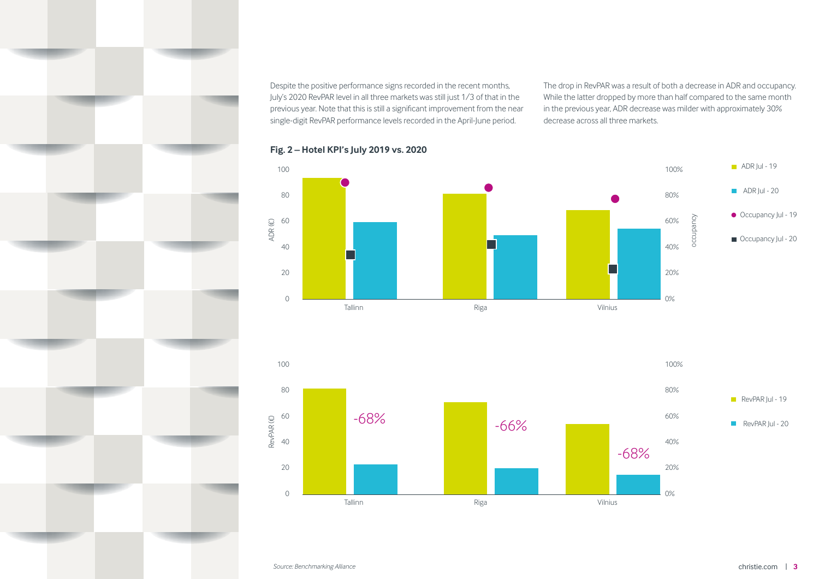Despite the positive performance signs recorded in the recent months, July's 2020 RevPAR level in all three markets was still just 1/3 of that in the previous year. Note that this is still a significant improvement from the near single-digit RevPAR performance levels recorded in the April-June period.

The drop in RevPAR was a result of both a decrease in ADR and occupancy. While the latter dropped by more than half compared to the same month in the previous year, ADR decrease was milder with approximately 30% decrease across all three markets.





## **Fig. 2 – Hotel KPI's July 2019 vs. 2020**

*Source: Benchmarking Alliance* christie.com | **3**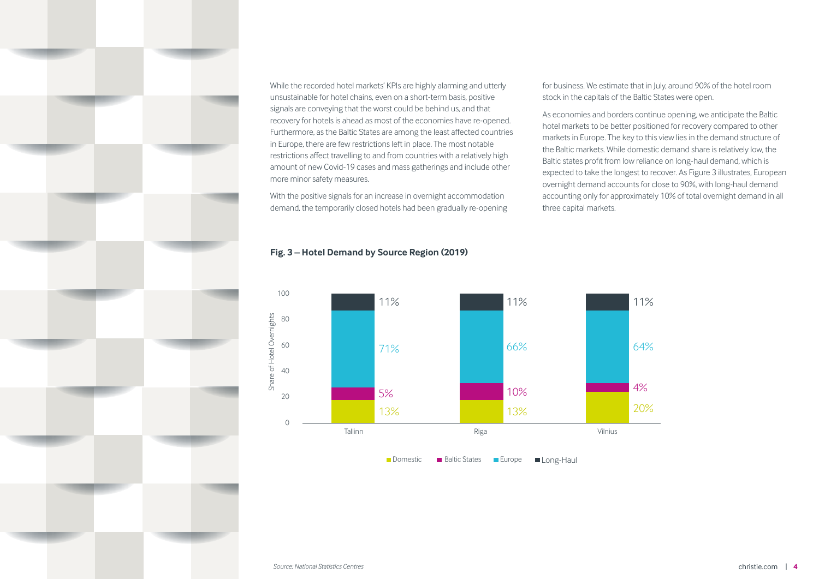

While the recorded hotel markets' KPIs are highly alarming and utterly unsustainable for hotel chains, even on a short-term basis, positive signals are conveying that the worst could be behind us, and that recovery for hotels is ahead as most of the economies have re-opened. Furthermore, as the Baltic States are among the least affected countries in Europe, there are few restrictions left in place. The most notable restrictions affect travelling to and from countries with a relatively high amount of new Covid-19 cases and mass gatherings and include other more minor safety measures.

With the positive signals for an increase in overnight accommodation demand, the temporarily closed hotels had been gradually re-opening

## **Fig. 3 – Hotel Demand by Source Region (2019)**



for business. We estimate that in July, around 90% of the hotel room stock in the capitals of the Baltic States were open.

As economies and borders continue opening, we anticipate the Baltic hotel markets to be better positioned for recovery compared to other markets in Europe. The key to this view lies in the demand structure of the Baltic markets. While domestic demand share is relatively low, the Baltic states profit from low reliance on long-haul demand, which is expected to take the longest to recover. As Figure 3 illustrates, European overnight demand accounts for close to 90%, with long-haul demand accounting only for approximately 10% of total overnight demand in all three capital markets.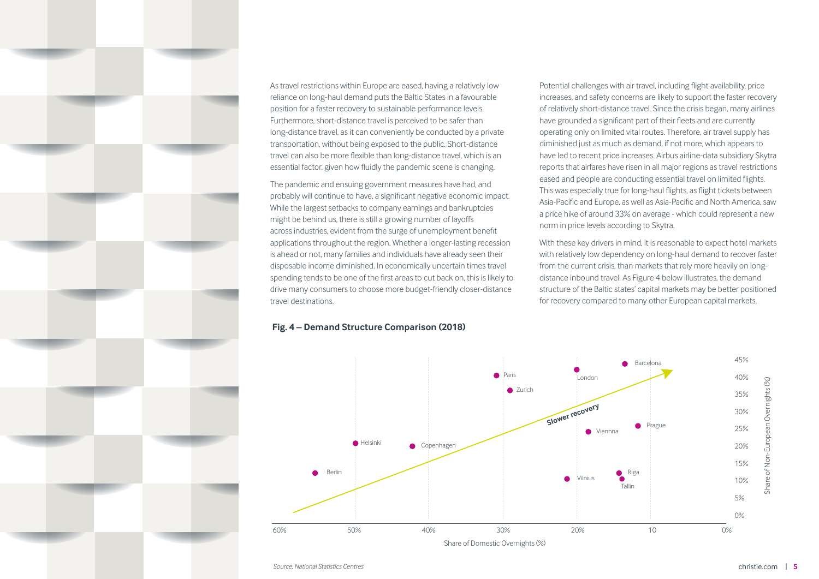

As travel restrictions within Europe are eased, having a relatively low reliance on long-haul demand puts the Baltic States in a favourable position for a faster recovery to sustainable performance levels. Furthermore, short-distance travel is perceived to be safer than long-distance travel, as it can conveniently be conducted by a private transportation, without being exposed to the public. Short-distance travel can also be more flexible than long-distance travel, which is an essential factor, given how fluidly the pandemic scene is changing.

The pandemic and ensuing government measures have had, and probably will continue to have, a significant negative economic impact. While the largest setbacks to company earnings and bankruptcies might be behind us, there is still a growing number of layoffs across industries, evident from the surge of unemployment benefit applications throughout the region. Whether a longer-lasting recession is ahead or not, many families and individuals have already seen their disposable income diminished. In economically uncertain times travel spending tends to be one of the first areas to cut back on, this is likely to drive many consumers to choose more budget-friendly closer-distance travel destinations.

### **Fig. 4 – Demand Structure Comparison (2018)**

Potential challenges with air travel, including flight availability, price increases, and safety concerns are likely to support the faster recovery of relatively short-distance travel. Since the crisis began, many airlines have grounded a significant part of their fleets and are currently operating only on limited vital routes. Therefore, air travel supply has diminished just as much as demand, if not more, which appears to have led to recent price increases. Airbus airline-data subsidiary Skytra reports that airfares have risen in all major regions as travel restrictions eased and people are conducting essential travel on limited flights. This was especially true for long-haul flights, as flight tickets between Asia-Pacific and Europe, as well as Asia-Pacific and North America, saw a price hike of around 33% on average - which could represent a new norm in price levels according to Skytra.

With these key drivers in mind, it is reasonable to expect hotel markets with relatively low dependency on long-haul demand to recover faster from the current crisis, than markets that rely more heavily on longdistance inbound travel. As Figure 4 below illustrates, the demand structure of the Baltic states' capital markets may be better positioned for recovery compared to many other European capital markets.

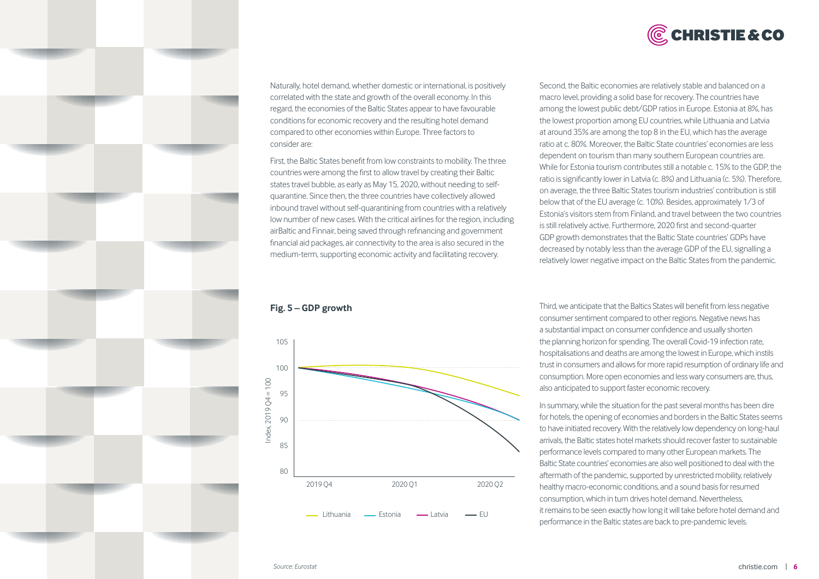



Naturally, hotel demand, whether domestic or international, is positively correlated with the state and growth of the overall economy. In this regard, the economies of the Baltic States appear to have favourable conditions for economic recovery and the resulting hotel demand compared to other economies within Europe. Three factors to consider are:

First, the Baltic States benefit from low constraints to mobility. The three countries were among the first to allow travel by creating their Baltic states travel bubble, as early as May 15, 2020, without needing to selfquarantine. Since then, the three countries have collectively allowed inbound travel without self-quarantining from countries with a relatively low number of new cases. With the critical airlines for the region, including airBaltic and Finnair, being saved through refinancing and government financial aid packages, air connectivity to the area is also secured in the medium-term, supporting economic activity and facilitating recovery.

**Fig. 5 – GDP growth** 



Second, the Baltic economies are relatively stable and balanced on a macro level, providing a solid base for recovery. The countries have among the lowest public debt/GDP ratios in Europe. Estonia at 8%, has the lowest proportion among EU countries, while Lithuania and Latvia at around 35% are among the top 8 in the EU, which has the average ratio at c. 80%. Moreover, the Baltic State countries' economies are less dependent on tourism than many southern European countries are. While for Estonia tourism contributes still a notable c. 15% to the GDP, the ratio is significantly lower in Latvia (c. 8%) and Lithuania (c. 5%). Therefore, on average, the three Baltic States tourism industries' contribution is still below that of the EU average (c. 10%). Besides, approximately 1/3 of Estonia's visitors stem from Finland, and travel between the two countries is still relatively active. Furthermore, 2020 first and second-quarter GDP growth demonstrates that the Baltic State countries' GDPs have decreased by notably less than the average GDP of the EU, signalling a relatively lower negative impact on the Baltic States from the pandemic.

Third, we anticipate that the Baltics States will benefit from less negative consumer sentiment compared to other regions. Negative news has a substantial impact on consumer confidence and usually shorten the planning horizon for spending. The overall Covid-19 infection rate, hospitalisations and deaths are among the lowest in Europe, which instils trust in consumers and allows for more rapid resumption of ordinary life and consumption. More open economies and less wary consumers are, thus, also anticipated to support faster economic recovery.

In summary, while the situation for the past several months has been dire for hotels, the opening of economies and borders in the Baltic States seems to have initiated recovery. With the relatively low dependency on long-haul arrivals, the Baltic states hotel markets should recover faster to sustainable performance levels compared to many other European markets. The Baltic State countries' economies are also well positioned to deal with the aftermath of the pandemic, supported by unrestricted mobility, relatively healthy macro-economic conditions, and a sound basis for resumed consumption, which in turn drives hotel demand. Nevertheless, it remains to be seen exactly how long it will take before hotel demand and performance in the Baltic states are back to pre-pandemic levels.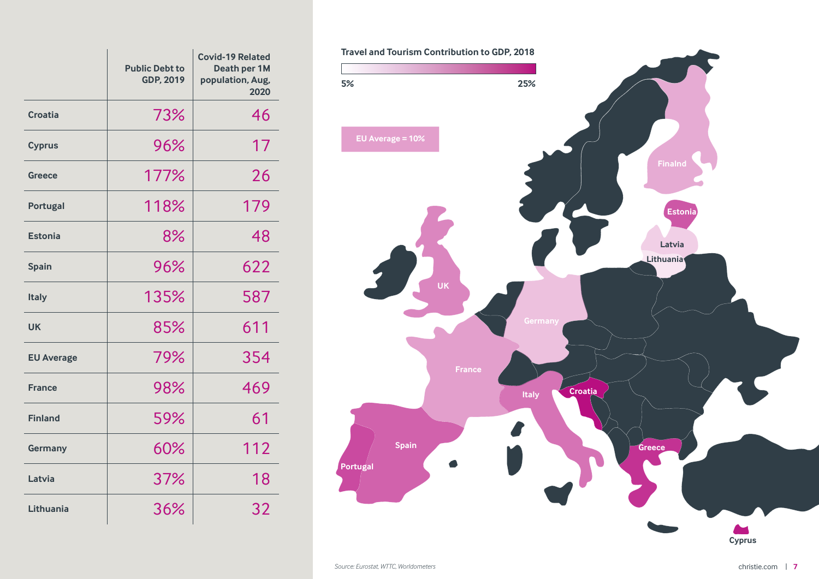|                   | <b>Public Debt to</b><br>GDP, 2019 | <b>Covid-19 Related</b><br>Death per 1M<br>population, Aug,<br>2020 |
|-------------------|------------------------------------|---------------------------------------------------------------------|
| Croatia           | 73%                                | 46                                                                  |
| <b>Cyprus</b>     | 96%                                | 17                                                                  |
| <b>Greece</b>     | 177%                               | 26                                                                  |
| <b>Portugal</b>   | 118%                               | 179                                                                 |
| <b>Estonia</b>    | 8%                                 | 48                                                                  |
| <b>Spain</b>      | 96%                                | 622                                                                 |
| <b>Italy</b>      | 135%                               | 587                                                                 |
| UK                | 85%                                | 611                                                                 |
| <b>EU Average</b> | 79%                                | 354                                                                 |
| <b>France</b>     | 98%                                | 469                                                                 |
| <b>Finland</b>    | 59%                                | 61                                                                  |
| Germany           | 60%                                | 112                                                                 |
| Latvia            | 37%                                | 18                                                                  |
| Lithuania         | 36%                                | 32                                                                  |